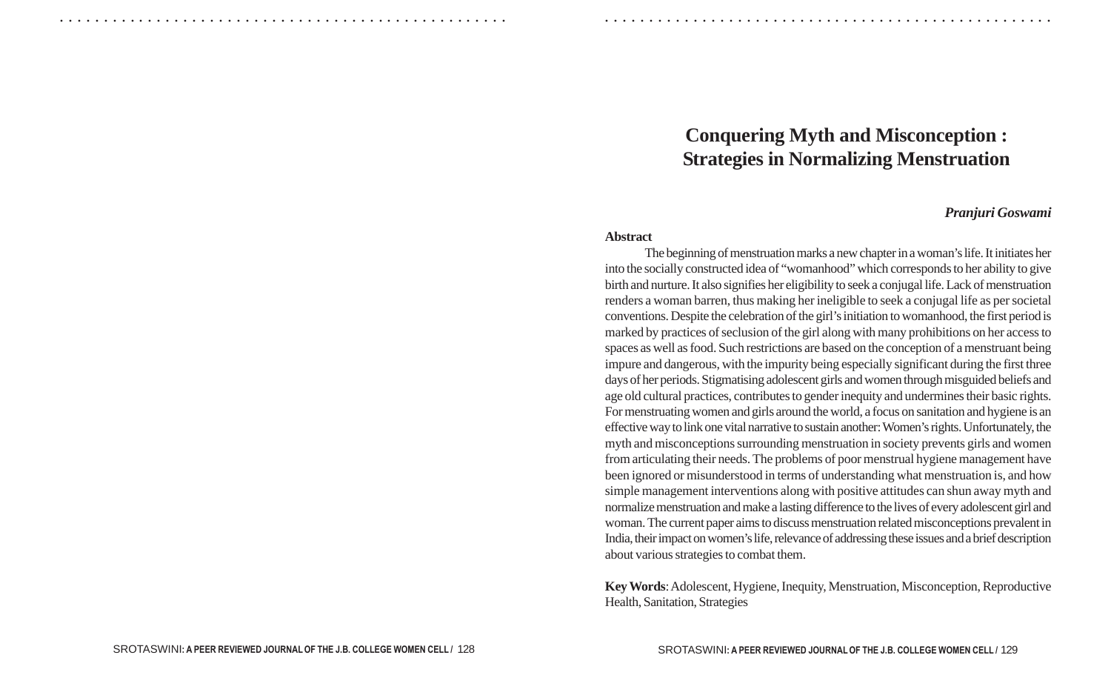# **Conquering Myth and Misconception : Strategies in Normalizing Menstruation**

## *Pranjuri Goswami*

#### **Abstract**

The beginning of menstruation marks a new chapter in a woman's life. It initiates her into the socially constructed idea of "womanhood" which corresponds to her ability to give birth and nurture. It also signifies her eligibility to seek a conjugal life. Lack of menstruation renders a woman barren, thus making her ineligible to seek a conjugal life as per societal conventions. Despite the celebration of the girl's initiation to womanhood, the first period is marked by practices of seclusion of the girl along with many prohibitions on her access to spaces as well as food. Such restrictions are based on the conception of a menstruant being impure and dangerous, with the impurity being especially significant during the first three days of her periods. Stigmatising adolescent girls and women through misguided beliefs and age old cultural practices, contributes to gender inequity and undermines their basic rights. For menstruating women and girls around the world, a focus on sanitation and hygiene is an effective way to link one vital narrative to sustain another: Women's rights. Unfortunately, the myth and misconceptions surrounding menstruation in society prevents girls and women from articulating their needs. The problems of poor menstrual hygiene management have been ignored or misunderstood in terms of understanding what menstruation is, and how simple management interventions along with positive attitudes can shun away myth and normalize menstruation and make a lasting difference to the lives of every adolescent girl and woman. The current paper aims to discuss menstruation related misconceptions prevalent in India, their impact on women's life, relevance of addressing these issues and a brief description about various strategies to combat them.

**Key Words**: Adolescent, Hygiene, Inequity, Menstruation, Misconception, Reproductive Health, Sanitation, Strategies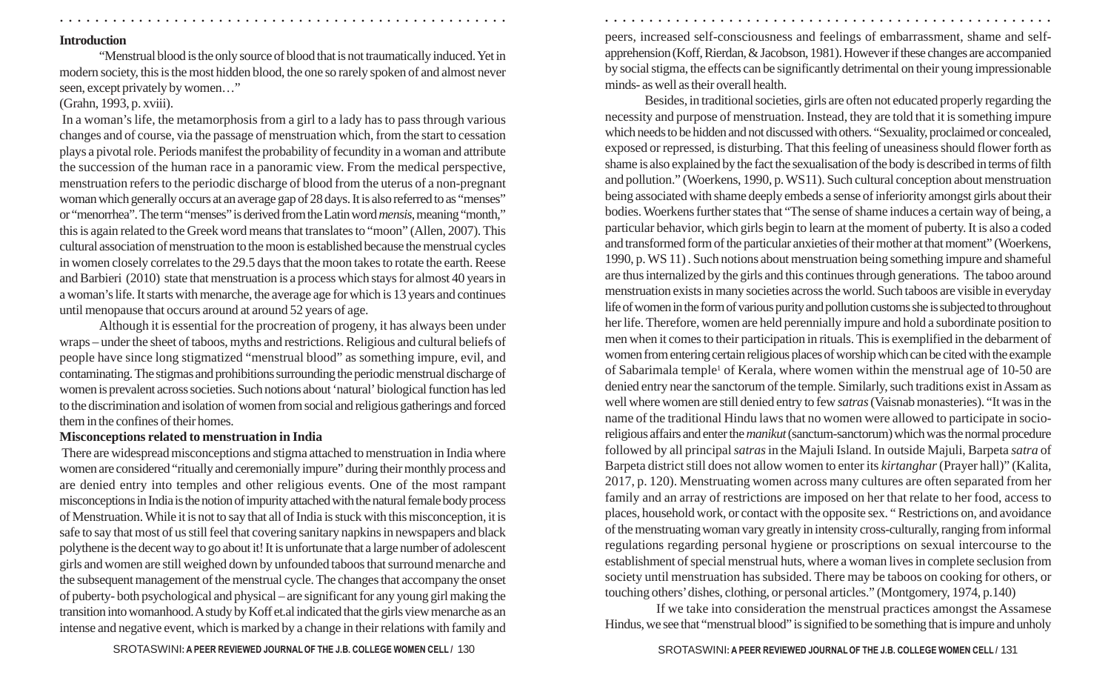#### **Introduction**

"Menstrual blood is the only source of blood that is not traumatically induced. Yet in modern society, this is the most hidden blood, the one so rarely spoken of and almost never seen, except privately by women…"

○ ○ ○ ○ ○ ○ ○ ○ ○ ○ ○ ○ ○ ○ ○ ○ ○ ○ ○ ○ ○ ○ ○ ○ ○ ○ ○ ○ ○ ○ ○ ○ ○ ○ ○ ○ ○ ○ ○ ○ ○ ○ ○ ○ ○ ○ ○ ○ ○ ○ ○ ○ ○ ○ ○ ○ ○ ○ ○ ○ ○ ○ ○ ○ ○ ○ ○ ○ ○ ○ ○ ○ ○ ○ ○ ○ ○ ○ ○ ○ ○ ○ ○ ○ ○ ○ ○ ○ ○ ○ ○ ○ ○ ○ ○ ○ ○ ○ ○ ○ ○ ○

## (Grahn, 1993, p. xviii).

 In a woman's life, the metamorphosis from a girl to a lady has to pass through various changes and of course, via the passage of menstruation which, from the start to cessation plays a pivotal role. Periods manifest the probability of fecundity in a woman and attribute the succession of the human race in a panoramic view. From the medical perspective, menstruation refers to the periodic discharge of blood from the uterus of a non-pregnant woman which generally occurs at an average gap of 28 days. It is also referred to as "menses" or "menorrhea". The term "menses" is derived from the Latin word *mensis*, meaning "month," this is again related to the Greek word means that translates to "moon" (Allen, 2007). This cultural association of menstruation to the moon is established because the menstrual cycles in women closely correlates to the 29.5 days that the moon takes to rotate the earth. Reese and Barbieri (2010) state that menstruation is a process which stays for almost 40 years in a woman's life. It starts with menarche, the average age for which is 13 years and continues until menopause that occurs around at around 52 years of age.

Although it is essential for the procreation of progeny, it has always been under wraps – under the sheet of taboos, myths and restrictions. Religious and cultural beliefs of people have since long stigmatized "menstrual blood" as something impure, evil, and contaminating. The stigmas and prohibitions surrounding the periodic menstrual discharge of women is prevalent across societies. Such notions about 'natural' biological function has led to the discrimination and isolation of women from social and religious gatherings and forced them in the confines of their homes.

## **Misconceptions related to menstruation in India**

 There are widespread misconceptions and stigma attached to menstruation in India where women are considered "ritually and ceremonially impure" during their monthly process and are denied entry into temples and other religious events. One of the most rampant misconceptions in India is the notion of impurity attached with the natural female body process of Menstruation. While it is not to say that all of India is stuck with this misconception, it is safe to say that most of us still feel that covering sanitary napkins in newspapers and black polythene is the decent way to go about it! It is unfortunate that a large number of adolescent girls and women are still weighed down by unfounded taboos that surround menarche and the subsequent management of the menstrual cycle. The changes that accompany the onset of puberty- both psychological and physical – are significant for any young girl making the transition into womanhood. A study by Koff et.al indicated that the girls view menarche as an intense and negative event, which is marked by a change in their relations with family and

peers, increased self-consciousness and feelings of embarrassment, shame and selfapprehension (Koff, Rierdan, & Jacobson, 1981). However if these changes are accompanied by social stigma, the effects can be significantly detrimental on their young impressionable minds- as well as their overall health.

Besides, in traditional societies, girls are often not educated properly regarding the necessity and purpose of menstruation. Instead, they are told that it is something impure which needs to be hidden and not discussed with others. "Sexuality, proclaimed or concealed, exposed or repressed, is disturbing. That this feeling of uneasiness should flower forth as shame is also explained by the fact the sexualisation of the body is described in terms of filth and pollution." (Woerkens, 1990, p. WS11). Such cultural conception about menstruation being associated with shame deeply embeds a sense of inferiority amongst girls about their bodies. Woerkens further states that "The sense of shame induces a certain way of being, a particular behavior, which girls begin to learn at the moment of puberty. It is also a coded and transformed form of the particular anxieties of their mother at that moment" (Woerkens, 1990, p. WS 11) . Such notions about menstruation being something impure and shameful are thus internalized by the girls and this continues through generations. The taboo around menstruation exists in many societies across the world. Such taboos are visible in everyday life of women in the form of various purity and pollution customs she is subjected to throughout her life. Therefore, women are held perennially impure and hold a subordinate position to men when it comes to their participation in rituals. This is exemplified in the debarment of women from entering certain religious places of worship which can be cited with the example of Sabarimala temple <sup>1</sup> of Kerala, where women within the menstrual age of 10-50 are denied entry near the sanctorum of the temple. Similarly, such traditions exist in Assam as well where women are still denied entry to few *satras* (Vaisnab monasteries). "It was in the name of the traditional Hindu laws that no women were allowed to participate in socioreligious affairs and enter the *manikut* (sanctum-sanctorum) which was the normal procedure followed by all principal *satras* in the Majuli Island. In outside Majuli, Barpeta *satra* of Barpeta district still does not allow women to enter its *kirtanghar* (Prayer hall)" (Kalita, 2017, p. 120). Menstruating women across many cultures are often separated from her family and an array of restrictions are imposed on her that relate to her food, access to places, household work, or contact with the opposite sex. " Restrictions on, and avoidance of the menstruating woman vary greatly in intensity cross-culturally, ranging from informal regulations regarding personal hygiene or proscriptions on sexual intercourse to the establishment of special menstrual huts, where a woman lives in complete seclusion from society until menstruation has subsided. There may be taboos on cooking for others, or touching others' dishes, clothing, or personal articles." (Montgomery, 1974, p.140)

 If we take into consideration the menstrual practices amongst the Assamese Hindus, we see that "menstrual blood" is signified to be something that is impure and unholy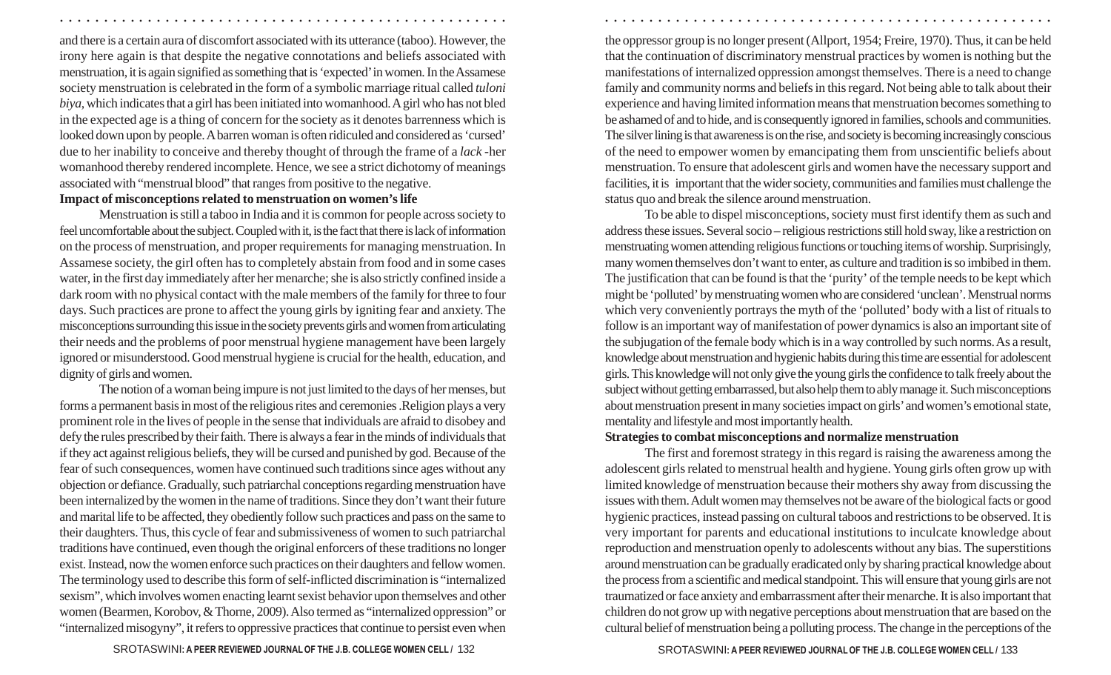and there is a certain aura of discomfort associated with its utterance (taboo). However, the irony here again is that despite the negative connotations and beliefs associated with menstruation, it is again signified as something that is 'expected' in women. In the Assamese society menstruation is celebrated in the form of a symbolic marriage ritual called *tuloni biya*, which indicates that a girl has been initiated into womanhood. A girl who has not bled in the expected age is a thing of concern for the society as it denotes barrenness which is looked down upon by people. A barren woman is often ridiculed and considered as 'cursed' due to her inability to conceive and thereby thought of through the frame of a *lack -*her womanhood thereby rendered incomplete*.* Hence, we see a strict dichotomy of meanings associated with "menstrual blood" that ranges from positive to the negative.

## **Impact of misconceptions related to menstruation on women's life**

Menstruation is still a taboo in India and it is common for people across society to feel uncomfortable about the subject. Coupled with it, is the fact that there is lack of information on the process of menstruation, and proper requirements for managing menstruation. In Assamese society, the girl often has to completely abstain from food and in some cases water, in the first day immediately after her menarche; she is also strictly confined inside a dark room with no physical contact with the male members of the family for three to four days. Such practices are prone to affect the young girls by igniting fear and anxiety. The misconceptions surrounding this issue in the society prevents girls and women from articulating their needs and the problems of poor menstrual hygiene management have been largely ignored or misunderstood. Good menstrual hygiene is crucial for the health, education, and dignity of girls and women.

The notion of a woman being impure is not just limited to the days of her menses, but forms a permanent basis in most of the religious rites and ceremonies .Religion plays a very prominent role in the lives of people in the sense that individuals are afraid to disobey and defy the rules prescribed by their faith. There is always a fear in the minds of individuals that if they act against religious beliefs, they will be cursed and punished by god. Because of the fear of such consequences, women have continued such traditions since ages without any objection or defiance. Gradually, such patriarchal conceptions regarding menstruation have been internalized by the women in the name of traditions. Since they don't want their future and marital life to be affected, they obediently follow such practices and pass on the same to their daughters. Thus, this cycle of fear and submissiveness of women to such patriarchal traditions have continued, even though the original enforcers of these traditions no longer exist. Instead, now the women enforce such practices on their daughters and fellow women. The terminology used to describe this form of self-inflicted discrimination is "internalized sexism", which involves women enacting learnt sexist behavior upon themselves and other women (Bearmen, Korobov, & Thorne, 2009). Also termed as "internalized oppression" or "internalized misogyny", it refers to oppressive practices that continue to persist even when the oppressor group is no longer present (Allport, 1954; Freire, 1970). Thus, it can be held that the continuation of discriminatory menstrual practices by women is nothing but the manifestations of internalized oppression amongst themselves. There is a need to change family and community norms and beliefs in this regard. Not being able to talk about their experience and having limited information means that menstruation becomes something to be ashamed of and to hide, and is consequently ignored in families, schools and communities. The silver lining is that awareness is on the rise, and society is becoming increasingly conscious of the need to empower women by emancipating them from unscientific beliefs about menstruation. To ensure that adolescent girls and women have the necessary support and facilities, it is important that the wider society, communities and families must challenge the status quo and break the silence around menstruation.

○ ○ ○ ○ ○ ○ ○ ○ ○ ○ ○ ○ ○ ○ ○ ○ ○ ○ ○ ○ ○ ○ ○ ○ ○ ○ ○ ○ ○ ○ ○ ○ ○ ○ ○ ○ ○ ○ ○ ○ ○ ○ ○ ○ ○ ○ ○ ○ ○ ○ ○ ○ ○ ○ ○ ○ ○ ○ ○ ○ ○ ○ ○ ○ ○ ○ ○ ○ ○ ○ ○ ○ ○ ○ ○ ○ ○ ○ ○ ○ ○ ○ ○ ○ ○ ○ ○ ○ ○ ○ ○ ○ ○ ○ ○ ○ ○ ○ ○ ○ ○ ○

To be able to dispel misconceptions, society must first identify them as such and address these issues. Several socio – religious restrictions still hold sway, like a restriction on menstruating women attending religious functions or touching items of worship. Surprisingly, many women themselves don't want to enter, as culture and tradition is so imbibed in them. The justification that can be found is that the 'purity' of the temple needs to be kept which might be 'polluted' by menstruating women who are considered 'unclean'. Menstrual norms which very conveniently portrays the myth of the 'polluted' body with a list of rituals to follow is an important way of manifestation of power dynamics is also an important site of the subjugation of the female body which is in a way controlled by such norms. As a result, knowledge about menstruation and hygienic habits during this time are essential for adolescent girls. This knowledge will not only give the young girls the confidence to talk freely about the subject without getting embarrassed, but also help them to ably manage it. Such misconceptions about menstruation present in many societies impact on girls' and women's emotional state, mentality and lifestyle and most importantly health.

#### **Strategies to combat misconceptions and normalize menstruation**

The first and foremost strategy in this regard is raising the awareness among the adolescent girls related to menstrual health and hygiene. Young girls often grow up with limited knowledge of menstruation because their mothers shy away from discussing the issues with them. Adult women may themselves not be aware of the biological facts or good hygienic practices, instead passing on cultural taboos and restrictions to be observed. It is very important for parents and educational institutions to inculcate knowledge about reproduction and menstruation openly to adolescents without any bias. The superstitions around menstruation can be gradually eradicated only by sharing practical knowledge about the process from a scientific and medical standpoint. This will ensure that young girls are not traumatized or face anxiety and embarrassment after their menarche. It is also important that children do not grow up with negative perceptions about menstruation that are based on the cultural belief of menstruation being a polluting process. The change in the perceptions of the